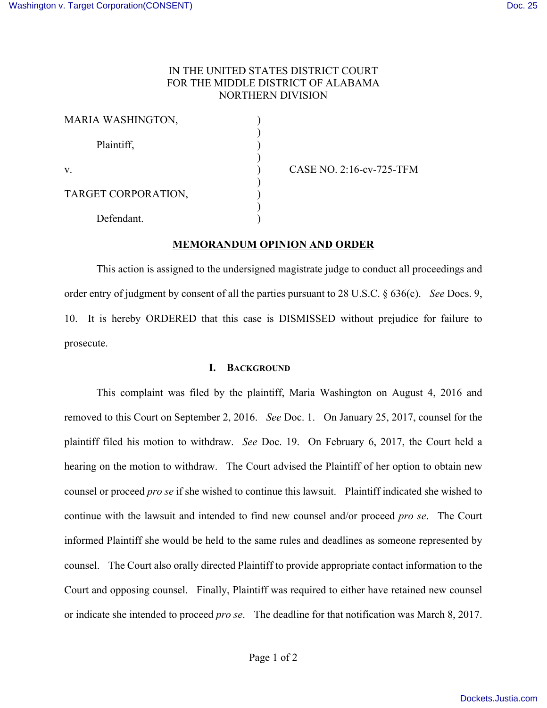# IN THE UNITED STATES DISTRICT COURT FOR THE MIDDLE DISTRICT OF ALABAMA NORTHERN DIVISION

| MARIA WASHINGTON,   |  |
|---------------------|--|
| Plaintiff,          |  |
| $V_{\cdot}$         |  |
| TARGET CORPORATION, |  |
| Defendant.          |  |

v. ) CASE NO. 2:16-cv-725-TFM

### **MEMORANDUM OPINION AND ORDER**

This action is assigned to the undersigned magistrate judge to conduct all proceedings and order entry of judgment by consent of all the parties pursuant to 28 U.S.C. § 636(c). *See* Docs. 9, 10. It is hereby ORDERED that this case is DISMISSED without prejudice for failure to prosecute.

### **I. BACKGROUND**

This complaint was filed by the plaintiff, Maria Washington on August 4, 2016 and removed to this Court on September 2, 2016. *See* Doc. 1. On January 25, 2017, counsel for the plaintiff filed his motion to withdraw. *See* Doc. 19. On February 6, 2017, the Court held a hearing on the motion to withdraw. The Court advised the Plaintiff of her option to obtain new counsel or proceed *pro se* if she wished to continue this lawsuit. Plaintiff indicated she wished to continue with the lawsuit and intended to find new counsel and/or proceed *pro se*. The Court informed Plaintiff she would be held to the same rules and deadlines as someone represented by counsel. The Court also orally directed Plaintiff to provide appropriate contact information to the Court and opposing counsel. Finally, Plaintiff was required to either have retained new counsel or indicate she intended to proceed *pro se*. The deadline for that notification was March 8, 2017.